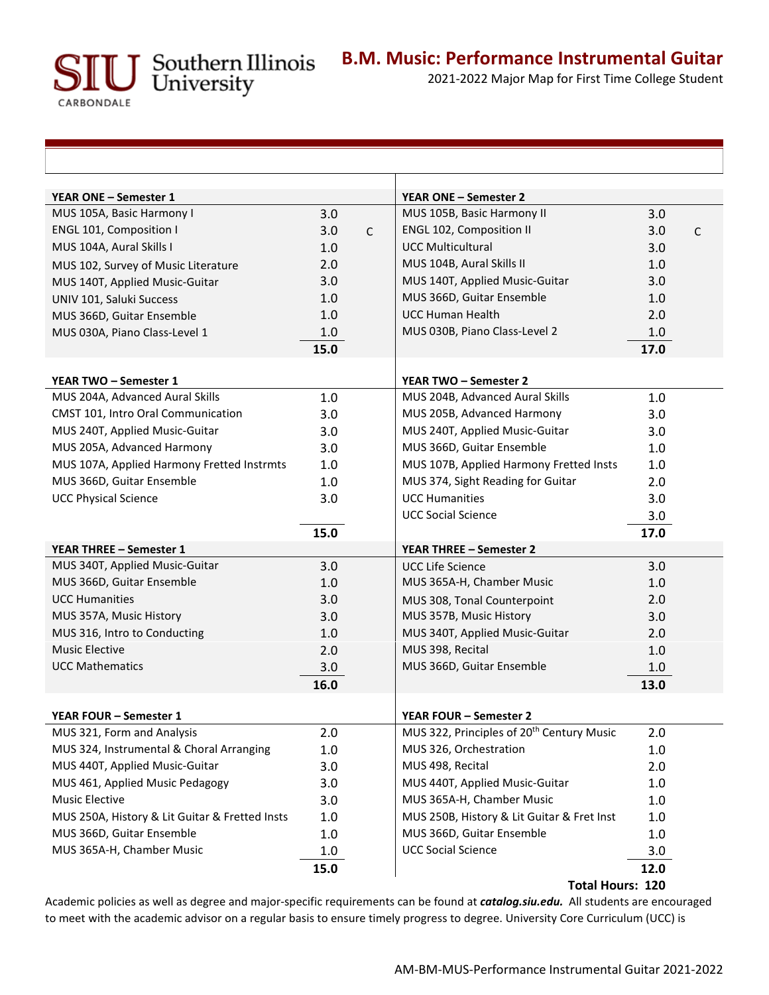

CARBONDALE

## **B.M. Music: Performance Instrumental Guitar**

2021-2022 Major Map for First Time College Student

| <b>YEAR ONE - Semester 1</b>                   |      |             | <b>YEAR ONE - Semester 2</b>                          |      |              |  |
|------------------------------------------------|------|-------------|-------------------------------------------------------|------|--------------|--|
| MUS 105A, Basic Harmony I                      | 3.0  |             | MUS 105B, Basic Harmony II                            | 3.0  |              |  |
| ENGL 101, Composition I                        | 3.0  | $\mathsf C$ | ENGL 102, Composition II                              | 3.0  | $\mathsf{C}$ |  |
| MUS 104A, Aural Skills I                       | 1.0  |             | <b>UCC Multicultural</b>                              | 3.0  |              |  |
| MUS 102, Survey of Music Literature            | 2.0  |             | MUS 104B, Aural Skills II                             | 1.0  |              |  |
| MUS 140T, Applied Music-Guitar                 | 3.0  |             | MUS 140T, Applied Music-Guitar                        | 3.0  |              |  |
| UNIV 101, Saluki Success                       | 1.0  |             | MUS 366D, Guitar Ensemble                             | 1.0  |              |  |
| MUS 366D, Guitar Ensemble                      | 1.0  |             | <b>UCC Human Health</b>                               | 2.0  |              |  |
| MUS 030A, Piano Class-Level 1                  | 1.0  |             | MUS 030B, Piano Class-Level 2                         | 1.0  |              |  |
|                                                | 15.0 |             |                                                       | 17.0 |              |  |
|                                                |      |             |                                                       |      |              |  |
| YEAR TWO - Semester 1                          |      |             | YEAR TWO - Semester 2                                 |      |              |  |
| MUS 204A, Advanced Aural Skills                | 1.0  |             | MUS 204B, Advanced Aural Skills                       | 1.0  |              |  |
| CMST 101, Intro Oral Communication             | 3.0  |             | MUS 205B, Advanced Harmony                            | 3.0  |              |  |
| MUS 240T, Applied Music-Guitar                 | 3.0  |             | MUS 240T, Applied Music-Guitar                        | 3.0  |              |  |
| MUS 205A, Advanced Harmony                     | 3.0  |             | MUS 366D, Guitar Ensemble                             | 1.0  |              |  |
| MUS 107A, Applied Harmony Fretted Instrmts     | 1.0  |             | MUS 107B, Applied Harmony Fretted Insts               | 1.0  |              |  |
| MUS 366D, Guitar Ensemble                      | 1.0  |             | MUS 374, Sight Reading for Guitar                     | 2.0  |              |  |
| <b>UCC Physical Science</b>                    | 3.0  |             | <b>UCC Humanities</b>                                 | 3.0  |              |  |
|                                                |      |             | <b>UCC Social Science</b>                             | 3.0  |              |  |
|                                                | 15.0 |             |                                                       | 17.0 |              |  |
| <b>YEAR THREE - Semester 1</b>                 |      |             | <b>YEAR THREE - Semester 2</b>                        |      |              |  |
| MUS 340T, Applied Music-Guitar                 | 3.0  |             | <b>UCC Life Science</b>                               | 3.0  |              |  |
| MUS 366D, Guitar Ensemble                      | 1.0  |             | MUS 365A-H, Chamber Music                             | 1.0  |              |  |
| <b>UCC Humanities</b>                          | 3.0  |             | MUS 308, Tonal Counterpoint                           | 2.0  |              |  |
| MUS 357A, Music History                        | 3.0  |             | MUS 357B, Music History                               | 3.0  |              |  |
| MUS 316, Intro to Conducting                   | 1.0  |             | MUS 340T, Applied Music-Guitar                        | 2.0  |              |  |
| <b>Music Elective</b>                          | 2.0  |             | MUS 398, Recital                                      | 1.0  |              |  |
| <b>UCC Mathematics</b>                         | 3.0  |             | MUS 366D, Guitar Ensemble                             | 1.0  |              |  |
|                                                | 16.0 |             |                                                       | 13.0 |              |  |
| YEAR FOUR - Semester 1                         |      |             | <b>YEAR FOUR - Semester 2</b>                         |      |              |  |
| MUS 321, Form and Analysis                     | 2.0  |             | MUS 322, Principles of 20 <sup>th</sup> Century Music | 2.0  |              |  |
| MUS 324, Instrumental & Choral Arranging       | 1.0  |             | MUS 326, Orchestration                                | 1.0  |              |  |
| MUS 440T, Applied Music-Guitar                 | 3.0  |             | MUS 498, Recital                                      | 2.0  |              |  |
| MUS 461, Applied Music Pedagogy                | 3.0  |             | MUS 440T, Applied Music-Guitar                        | 1.0  |              |  |
| <b>Music Elective</b>                          | 3.0  |             | MUS 365A-H, Chamber Music                             | 1.0  |              |  |
| MUS 250A, History & Lit Guitar & Fretted Insts | 1.0  |             | MUS 250B, History & Lit Guitar & Fret Inst            | 1.0  |              |  |
| MUS 366D, Guitar Ensemble                      | 1.0  |             | MUS 366D, Guitar Ensemble                             | 1.0  |              |  |
| MUS 365A-H, Chamber Music                      | 1.0  |             | <b>UCC Social Science</b>                             | 3.0  |              |  |
|                                                | 15.0 |             |                                                       | 12.0 |              |  |
|                                                |      |             | <b>Total Hours: 120</b>                               |      |              |  |

Academic policies as well as degree and major-specific requirements can be found at *catalog.siu.edu.* All students are encouraged to meet with the academic advisor on a regular basis to ensure timely progress to degree. University Core Curriculum (UCC) is